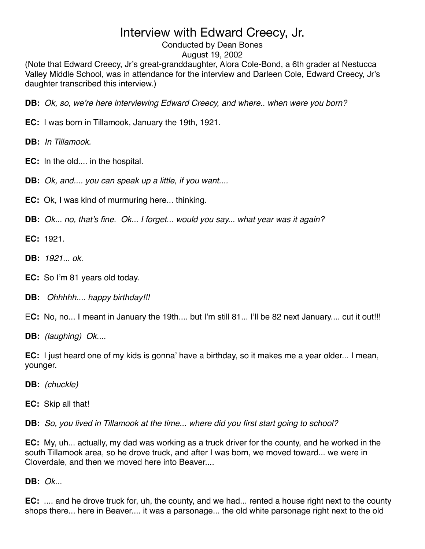Conducted by Dean Bones

### August 19, 2002

(Note that Edward Creecy, Jr's great-granddaughter, Alora Cole-Bond, a 6th grader at Nestucca Valley Middle School, was in attendance for the interview and Darleen Cole, Edward Creecy, Jr's daughter transcribed this interview.)

**DB:** *Ok, so, we*'*re here interviewing Edward Creecy, and where.. when were you born?*

- **EC:** I was born in Tillamook, January the 19th, 1921.
- **DB:** *In Tillamook.*
- **EC:** In the old.... in the hospital.
- **DB:** *Ok, and.... you can speak up a little, if you want....*
- **EC:** Ok, I was kind of murmuring here... thinking.
- **DB:** *Ok... no, that*'*s fine. Ok... I forget... would you say... what year was it again?*
- **EC:** 1921.
- **DB:** *1921... ok.*
- **EC:** So I'm 81 years old today.
- **DB:** *Ohhhhh.... happy birthday!!!*
- E**C:** No, no... I meant in January the 19th.... but I'm still 81... I'll be 82 next January.... cut it out!!!
- **DB:** *(laughing) Ok....*

**EC:** I just heard one of my kids is gonna' have a birthday, so it makes me a year older... I mean, younger.

- **DB:** *(chuckle)*
- **EC:** Skip all that!

**DB:** *So, you lived in Tillamook at the time... where did you first start going to school?*

**EC:** My, uh... actually, my dad was working as a truck driver for the county, and he worked in the south Tillamook area, so he drove truck, and after I was born, we moved toward... we were in Cloverdale, and then we moved here into Beaver....

**DB:** *Ok...*

**EC:** .... and he drove truck for, uh, the county, and we had... rented a house right next to the county shops there... here in Beaver.... it was a parsonage... the old white parsonage right next to the old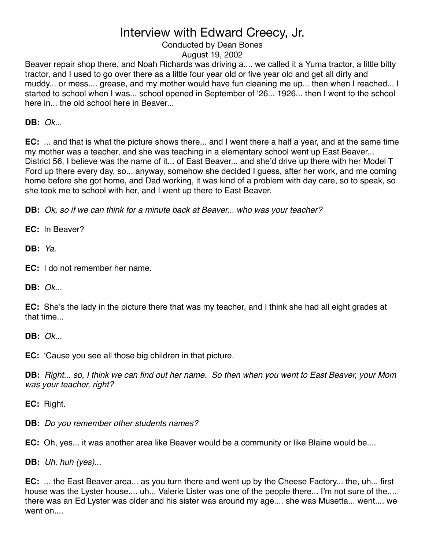## Conducted by Dean Bones

August 19, 2002

Beaver repair shop there, and Noah Richards was driving a.... we called it a Yuma tractor, a little bitty tractor, and I used to go over there as a little four year old or five year old and get all dirty and muddy... or mess.... grease, and my mother would have fun cleaning me up... then when I reached... I started to school when I was... school opened in September of ʻ26... 1926... then I went to the school here in... the old school here in Beaver...

**DB:** *Ok.*..

**EC:** ... and that is what the picture shows there... and I went there a half a year, and at the same time my mother was a teacher, and she was teaching in a elementary school went up East Beaver... District 56, I believe was the name of it... of East Beaver... and she'd drive up there with her Model T Ford up there every day, so... anyway, somehow she decided I guess, after her work, and me coming home before she got home, and Dad working, it was kind of a problem with day care, so to speak, so she took me to school with her, and I went up there to East Beaver.

**DB:** *Ok, so if we can think for a minute back at Beaver... who was your teacher?*

**EC:** In Beaver?

**DB:** *Ya.*

**EC:** I do not remember her name.

**DB:** *Ok...*

**EC:** She's the lady in the picture there that was my teacher, and I think she had all eight grades at that time...

**DB:** *Ok...*

**EC:** ʻCause you see all those big children in that picture.

**DB:** *Right... so, I think we can find out her name. So then when you went to East Beaver, your Mom was your teacher, right?*

**EC:** Right.

**DB:** *Do you remember other students names?*

**EC:** Oh, yes... it was another area like Beaver would be a community or like Blaine would be....

**DB:** *Uh, huh (yes)...*

**EC:** ... the East Beaver area... as you turn there and went up by the Cheese Factory... the, uh... first house was the Lyster house.... uh... Valerie Lister was one of the people there... I'm not sure of the.... there was an Ed Lyster was older and his sister was around my age.... she was Musetta... went.... we went on....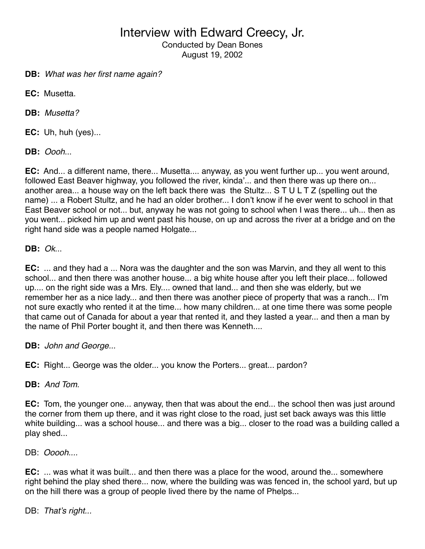Conducted by Dean Bones August 19, 2002

**DB:** *What was her first name again?*

**EC:** Musetta.

**DB:** *Musetta?*

**EC:** Uh, huh (yes)...

**DB:** *Oooh*...

**EC:** And... a different name, there... Musetta.... anyway, as you went further up... you went around, followed East Beaver highway, you followed the river, kinda'... and then there was up there on... another area... a house way on the left back there was the Stultz... S T U L T Z (spelling out the name) ... a Robert Stultz, and he had an older brother... I don't know if he ever went to school in that East Beaver school or not... but, anyway he was not going to school when I was there... uh... then as you went... picked him up and went past his house, on up and across the river at a bridge and on the right hand side was a people named Holgate...

**DB:** *Ok*...

**EC:** ... and they had a ... Nora was the daughter and the son was Marvin, and they all went to this school... and then there was another house... a big white house after you left their place... followed up.... on the right side was a Mrs. Ely.... owned that land... and then she was elderly, but we remember her as a nice lady... and then there was another piece of property that was a ranch... I'm not sure exactly who rented it at the time... how many children... at one time there was some people that came out of Canada for about a year that rented it, and they lasted a year... and then a man by the name of Phil Porter bought it, and then there was Kenneth....

**DB:** *John and George...*

**EC:** Right... George was the older... you know the Porters... great... pardon?

**DB:** *And Tom.*

**EC:** Tom, the younger one... anyway, then that was about the end... the school then was just around the corner from them up there, and it was right close to the road, just set back aways was this little white building... was a school house... and there was a big... closer to the road was a building called a play shed...

DB: *Ooooh....*

**EC:** ... was what it was built... and then there was a place for the wood, around the... somewhere right behind the play shed there... now, where the building was was fenced in, the school yard, but up on the hill there was a group of people lived there by the name of Phelps...

DB: *That*'*s right...*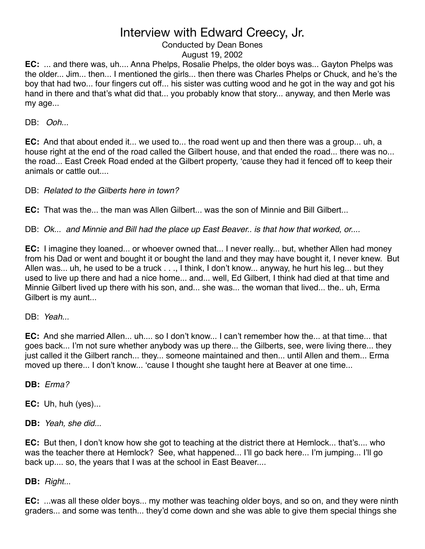## Conducted by Dean Bones

August 19, 2002

**EC:** ... and there was, uh.... Anna Phelps, Rosalie Phelps, the older boys was... Gayton Phelps was the older... Jim... then... I mentioned the girls... then there was Charles Phelps or Chuck, and he's the boy that had two... four fingers cut off... his sister was cutting wood and he got in the way and got his hand in there and that's what did that... you probably know that story... anyway, and then Merle was my age...

DB: *Ooh...*

**EC:** And that about ended it... we used to... the road went up and then there was a group... uh, a house right at the end of the road called the Gilbert house, and that ended the road... there was no... the road... East Creek Road ended at the Gilbert property, ʻcause they had it fenced off to keep their animals or cattle out....

DB: *Related to the Gilberts here in town?*

**EC:** That was the... the man was Allen Gilbert... was the son of Minnie and Bill Gilbert...

DB: *Ok... and Minnie and Bill had the place up East Beaver.. is that how that worked, or....*

**EC:** I imagine they loaned... or whoever owned that... I never really... but, whether Allen had money from his Dad or went and bought it or bought the land and they may have bought it, I never knew. But Allen was... uh, he used to be a truck . . ., I think, I don't know... anyway, he hurt his leg... but they used to live up there and had a nice home... and... well, Ed Gilbert, I think had died at that time and Minnie Gilbert lived up there with his son, and... she was... the woman that lived... the.. uh, Erma Gilbert is my aunt...

DB: *Yeah...*

**EC:** And she married Allen... uh.... so I don't know... I can't remember how the... at that time... that goes back... I'm not sure whether anybody was up there... the Gilberts, see, were living there... they just called it the Gilbert ranch... they... someone maintained and then... until Allen and them... Erma moved up there... I don't know... ʻcause I thought she taught here at Beaver at one time...

**DB:** *Erma?*

**EC:** Uh, huh (yes)...

**DB:** *Yeah, she did..*.

**EC:** But then, I don't know how she got to teaching at the district there at Hemlock... that's.... who was the teacher there at Hemlock? See, what happened... I'll go back here... I'm jumping... I'll go back up.... so, the years that I was at the school in East Beaver....

**DB:** *Right..*.

**EC:** ...was all these older boys... my mother was teaching older boys, and so on, and they were ninth graders... and some was tenth... they'd come down and she was able to give them special things she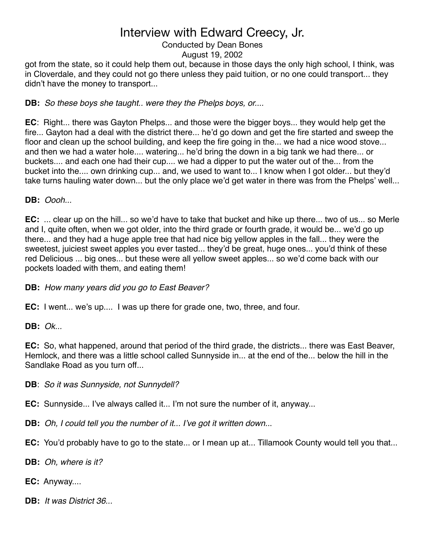### Conducted by Dean Bones

### August 19, 2002

got from the state, so it could help them out, because in those days the only high school, I think, was in Cloverdale, and they could not go there unless they paid tuition, or no one could transport... they didn't have the money to transport...

**DB:** *So these boys she taught.. were they the Phelps boys, or....*

**EC**: Right... there was Gayton Phelps... and those were the bigger boys... they would help get the fire... Gayton had a deal with the district there... he'd go down and get the fire started and sweep the floor and clean up the school building, and keep the fire going in the... we had a nice wood stove... and then we had a water hole.... watering... he'd bring the down in a big tank we had there... or buckets.... and each one had their cup.... we had a dipper to put the water out of the... from the bucket into the.... own drinking cup... and, we used to want to... I know when I got older... but they'd take turns hauling water down... but the only place we'd get water in there was from the Phelps' well...

**DB:** *Oooh...*

**EC:** ... clear up on the hill... so we'd have to take that bucket and hike up there... two of us... so Merle and I, quite often, when we got older, into the third grade or fourth grade, it would be... we'd go up there... and they had a huge apple tree that had nice big yellow apples in the fall... they were the sweetest, juiciest sweet apples you ever tasted... they'd be great, huge ones... you'd think of these red Delicious ... big ones... but these were all yellow sweet apples... so we'd come back with our pockets loaded with them, and eating them!

**DB:** *How many years did you go to East Beaver?*

**EC:** I went... we's up.... I was up there for grade one, two, three, and four.

**DB:** *Ok...*

**EC:** So, what happened, around that period of the third grade, the districts... there was East Beaver, Hemlock, and there was a little school called Sunnyside in... at the end of the... below the hill in the Sandlake Road as you turn off...

**DB**: *So it was Sunnyside, not Sunnydell?*

**EC:** Sunnyside... I've always called it... I'm not sure the number of it, anyway...

**DB:** *Oh, I could tell you the number of it... I*'*ve got it written down..*.

**EC:** You'd probably have to go to the state... or I mean up at... Tillamook County would tell you that...

**DB:** *Oh, where is it?*

**EC:** Anyway....

**DB:** *It was District 36...*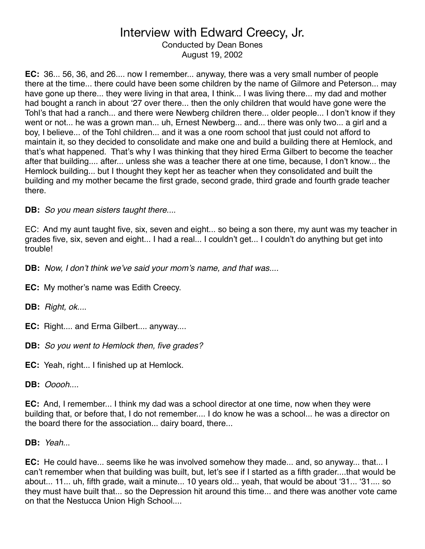Conducted by Dean Bones August 19, 2002

**EC:** 36... 56, 36, and 26.... now I remember... anyway, there was a very small number of people there at the time... there could have been some children by the name of Gilmore and Peterson... may have gone up there... they were living in that area, I think... I was living there... my dad and mother had bought a ranch in about ʻ27 over there... then the only children that would have gone were the Tohl's that had a ranch... and there were Newberg children there... older people... I don't know if they went or not... he was a grown man... uh, Ernest Newberg... and... there was only two... a girl and a boy, I believe... of the Tohl children... and it was a one room school that just could not afford to maintain it, so they decided to consolidate and make one and build a building there at Hemlock, and that's what happened. That's why I was thinking that they hired Erma Gilbert to become the teacher after that building.... after... unless she was a teacher there at one time, because, I don't know... the Hemlock building... but I thought they kept her as teacher when they consolidated and built the building and my mother became the first grade, second grade, third grade and fourth grade teacher there.

**DB:** *So you mean sisters taught there...*.

EC: And my aunt taught five, six, seven and eight... so being a son there, my aunt was my teacher in grades five, six, seven and eight... I had a real... I couldn't get... I couldn't do anything but get into trouble!

**DB:** *Now, I don*'*t think we*'*ve said your mom*'*s name, and that was....*

**EC:** My mother's name was Edith Creecy.

- **DB:** *Right, ok...*.
- **EC:** Right.... and Erma Gilbert.... anyway....
- **DB:** *So you went to Hemlock then, five grades?*
- **EC:** Yeah, right... I finished up at Hemlock.
- **DB:** *Ooooh....*

**EC:** And, I remember... I think my dad was a school director at one time, now when they were building that, or before that, I do not remember.... I do know he was a school... he was a director on the board there for the association... dairy board, there...

**DB:** *Yeah..*.

**EC:** He could have... seems like he was involved somehow they made... and, so anyway... that... I can't remember when that building was built, but, let's see if I started as a fifth grader....that would be about... 11... uh, fifth grade, wait a minute... 10 years old... yeah, that would be about ʻ31... ʻ31.... so they must have built that... so the Depression hit around this time... and there was another vote came on that the Nestucca Union High School....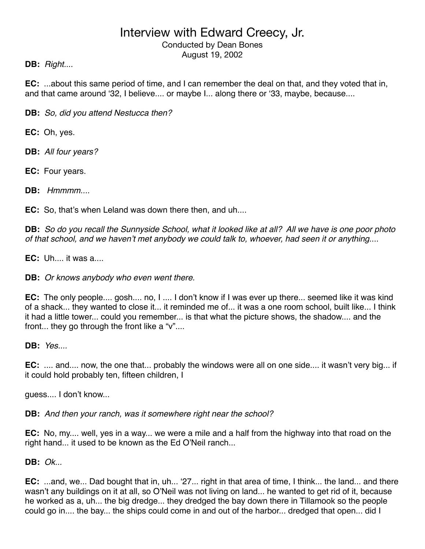Conducted by Dean Bones August 19, 2002

## **DB:** *Right.*...

**EC:** ...about this same period of time, and I can remember the deal on that, and they voted that in, and that came around ʻ32, I believe.... or maybe I... along there or ʻ33, maybe, because....

**DB:** *So, did you attend Nestucca then?*

**EC:** Oh, yes.

**DB:** *All four years?*

**EC:** Four years.

**DB:** *Hmmmm....*

**EC:** So, that's when Leland was down there then, and uh....

**DB:** *So do you recall the Sunnyside School, what it looked like at all? All we have is one poor photo of that school, and we haven*'*t met anybody we could talk to, whoever, had seen it or anything*....

**EC:** Uh.... it was a....

**DB:** *Or knows anybody who even went there.*

**EC:** The only people.... gosh.... no, I .... I don't know if I was ever up there... seemed like it was kind of a shack... they wanted to close it... it reminded me of... it was a one room school, built like... I think it had a little tower... could you remember... is that what the picture shows, the shadow.... and the front... they go through the front like a "v"....

**DB:** *Yes....*

**EC:** .... and.... now, the one that... probably the windows were all on one side.... it wasn't very big... if it could hold probably ten, fifteen children, I

guess.... I don't know...

**DB:** *And then your ranch, was it somewhere right near the school?*

**EC:** No, my.... well, yes in a way... we were a mile and a half from the highway into that road on the right hand... it used to be known as the Ed O'Neil ranch...

**DB:** *Ok...*

**EC:** ...and, we... Dad bought that in, uh... ʻ27... right in that area of time, I think... the land... and there wasn't any buildings on it at all, so O'Neil was not living on land... he wanted to get rid of it, because he worked as a, uh... the big dredge... they dredged the bay down there in Tillamook so the people could go in.... the bay... the ships could come in and out of the harbor... dredged that open... did I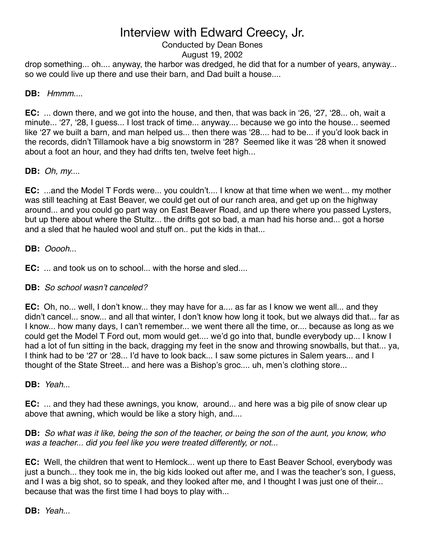## Conducted by Dean Bones

### August 19, 2002

drop something... oh.... anyway, the harbor was dredged, he did that for a number of years, anyway... so we could live up there and use their barn, and Dad built a house....

## **DB:** *Hmmm...*.

**EC:** ... down there, and we got into the house, and then, that was back in ʻ26, ʻ27, ʻ28... oh, wait a minute... ʻ27, ʻ28, I guess... I lost track of time... anyway.... because we go into the house... seemed like ʻ27 we built a barn, and man helped us... then there was ʻ28.... had to be... if you'd look back in the records, didn't Tillamook have a big snowstorm in ʻ28? Seemed like it was ʻ28 when it snowed about a foot an hour, and they had drifts ten, twelve feet high...

## **DB:** *Oh, my...*.

**EC:** ...and the Model T Fords were... you couldn't.... I know at that time when we went... my mother was still teaching at East Beaver, we could get out of our ranch area, and get up on the highway around... and you could go part way on East Beaver Road, and up there where you passed Lysters, but up there about where the Stultz... the drifts got so bad, a man had his horse and... got a horse and a sled that he hauled wool and stuff on.. put the kids in that...

### **DB:** *Ooooh...*

**EC:** ... and took us on to school... with the horse and sled....

## **DB:** *So school wasn*'*t canceled?*

**EC:** Oh, no... well, I don't know... they may have for a.... as far as I know we went all... and they didn't cancel... snow... and all that winter, I don't know how long it took, but we always did that... far as I know... how many days, I can't remember... we went there all the time, or.... because as long as we could get the Model T Ford out, mom would get.... we'd go into that, bundle everybody up... I know I had a lot of fun sitting in the back, dragging my feet in the snow and throwing snowballs, but that... ya, I think had to be ʻ27 or ʻ28... I'd have to look back... I saw some pictures in Salem years... and I thought of the State Street... and here was a Bishop's groc.... uh, men's clothing store...

### **DB:** *Yeah..*.

**EC:** ... and they had these awnings, you know, around... and here was a big pile of snow clear up above that awning, which would be like a story high, and....

**DB:** *So what was it like, being the son of the teacher, or being the son of the aunt, you know, who was a teacher... did you feel like you were treated differently, or not...*

**EC:** Well, the children that went to Hemlock... went up there to East Beaver School, everybody was just a bunch... they took me in, the big kids looked out after me, and I was the teacher's son, I guess, and I was a big shot, so to speak, and they looked after me, and I thought I was just one of their... because that was the first time I had boys to play with...

### **DB:** *Yeah...*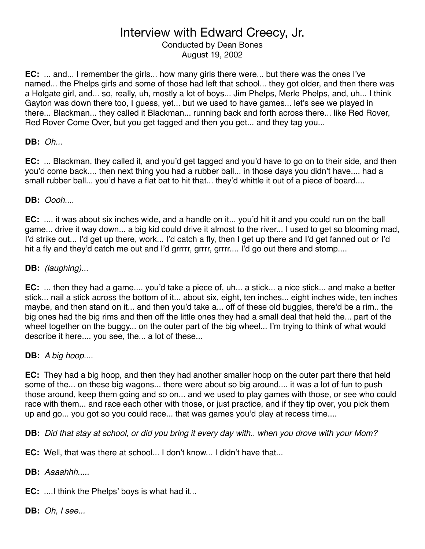Conducted by Dean Bones August 19, 2002

**EC:** ... and... I remember the girls... how many girls there were... but there was the ones I've named... the Phelps girls and some of those had left that school... they got older, and then there was a Holgate girl, and... so, really, uh, mostly a lot of boys... Jim Phelps, Merle Phelps, and, uh... I think Gayton was down there too, I guess, yet... but we used to have games... let's see we played in there... Blackman... they called it Blackman... running back and forth across there... like Red Rover, Red Rover Come Over, but you get tagged and then you get... and they tag you...

### **DB:** *Oh...*

**EC:** ... Blackman, they called it, and you'd get tagged and you'd have to go on to their side, and then you'd come back.... then next thing you had a rubber ball... in those days you didn't have.... had a small rubber ball... you'd have a flat bat to hit that... they'd whittle it out of a piece of board....

### **DB:** *Oooh....*

**EC:** .... it was about six inches wide, and a handle on it... you'd hit it and you could run on the ball game... drive it way down... a big kid could drive it almost to the river... I used to get so blooming mad, I'd strike out... I'd get up there, work... I'd catch a fly, then I get up there and I'd get fanned out or I'd hit a fly and they'd catch me out and I'd grrrrr, grrrr, grrrr.... I'd go out there and stomp....

### **DB:** *(laughing)...*

**EC:** ... then they had a game.... you'd take a piece of, uh... a stick... a nice stick... and make a better stick... nail a stick across the bottom of it... about six, eight, ten inches... eight inches wide, ten inches maybe, and then stand on it... and then you'd take a... off of these old buggies, there'd be a rim.. the big ones had the big rims and then off the little ones they had a small deal that held the... part of the wheel together on the buggy... on the outer part of the big wheel... I'm trying to think of what would describe it here.... you see, the... a lot of these...

### **DB:** *A big hoop....*

**EC:** They had a big hoop, and then they had another smaller hoop on the outer part there that held some of the... on these big wagons... there were about so big around.... it was a lot of fun to push those around, keep them going and so on... and we used to play games with those, or see who could race with them... and race each other with those, or just practice, and if they tip over, you pick them up and go... you got so you could race... that was games you'd play at recess time....

**DB:** *Did that stay at school, or did you bring it every day with.. when you drove with your Mom?*

**EC:** Well, that was there at school... I don't know... I didn't have that...

**DB:** *Aaaahhh.....*

**EC:** ....I think the Phelps' boys is what had it...

**DB:** *Oh, I see...*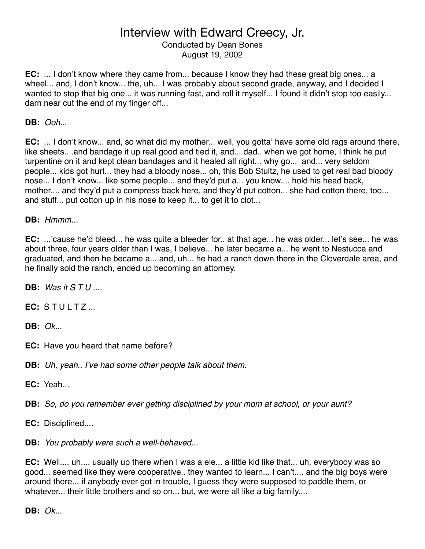Conducted by Dean Bones August 19, 2002

**EC:** ... I don't know where they came from... because I know they had these great big ones... a wheel... and, I don't know... the, uh... I was probably about second grade, anyway, and I decided I wanted to stop that big one... it was running fast, and roll it myself... I found it didn't stop too easily... darn near cut the end of my finger off...

**DB:** *Ooh..*.

**EC:** ... I don't know... and, so what did my mother... well, you gotta' have some old rags around there, like sheets.. .and bandage it up real good and tied it, and... dad.. when we got home, I think he put turpentine on it and kept clean bandages and it healed all right... why go... and... very seldom people... kids got hurt... they had a bloody nose... oh, this Bob Stultz, he used to get real bad bloody nose... I don't know... like some people... and they'd put a... you know.... hold his head back, mother.... and they'd put a compress back here, and they'd put cotton... she had cotton there, too... and stuff... put cotton up in his nose to keep it... to get it to clot...

**DB:** *Hmmm...*

**EC:** ...'cause he'd bleed... he was quite a bleeder for.. at that age... he was older... let's see... he was about three, four years older than I was, I believe... he later became a... he went to Nestucca and graduated, and then he became a... and, uh... he had a ranch down there in the Cloverdale area, and he finally sold the ranch, ended up becoming an attorney.

**DB:** *Was it S T U ....*

**EC:** STULTZ...

**DB:** *Ok...*

- **EC:** Have you heard that name before?
- **DB:** *Uh, yeah.. I*'*ve had some other people talk about them.*
- **EC:** Yeah

**DB:** *So, do you remember ever getting disciplined by your mom at school, or your aunt?*

**EC:** Disciplined....

**DB:** *You probably were such a well-behaved...*

**EC:** Well.... uh.... usually up there when I was a ele... a little kid like that... uh, everybody was so good... seemed like they were cooperative.. they wanted to learn... I can't.... and the big boys were around there... if anybody ever got in trouble, I guess they were supposed to paddle them, or whatever... their little brothers and so on... but, we were all like a big family....

**DB:** *Ok...*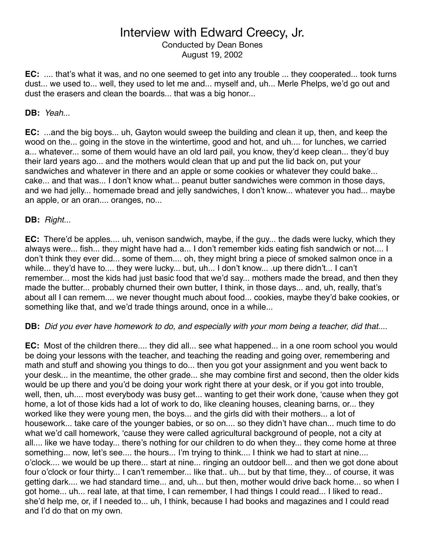Conducted by Dean Bones August 19, 2002

**EC:** .... that's what it was, and no one seemed to get into any trouble ... they cooperated... took turns dust... we used to... well, they used to let me and... myself and, uh... Merle Phelps, we'd go out and dust the erasers and clean the boards... that was a big honor...

### **DB:** *Yeah...*

**EC:** ...and the big boys... uh, Gayton would sweep the building and clean it up, then, and keep the wood on the... going in the stove in the wintertime, good and hot, and uh.... for lunches, we carried a... whatever... some of them would have an old lard pail, you know, they'd keep clean... they'd buy their lard years ago... and the mothers would clean that up and put the lid back on, put your sandwiches and whatever in there and an apple or some cookies or whatever they could bake... cake... and that was... I don't know what... peanut butter sandwiches were common in those days, and we had jelly... homemade bread and jelly sandwiches, I don't know... whatever you had... maybe an apple, or an oran.... oranges, no...

#### **DB:** *Right...*

**EC:** There'd be apples.... uh, venison sandwich, maybe, if the guy... the dads were lucky, which they always were... fish... they might have had a... I don't remember kids eating fish sandwich or not.... I don't think they ever did... some of them.... oh, they might bring a piece of smoked salmon once in a while... they'd have to.... they were lucky... but, uh... I don't know... .up there didn't... I can't remember... most the kids had just basic food that we'd say... mothers made the bread, and then they made the butter... probably churned their own butter, I think, in those days... and, uh, really, that's about all I can remem.... we never thought much about food... cookies, maybe they'd bake cookies, or something like that, and we'd trade things around, once in a while...

**DB:** *Did you ever have homework to do, and especially with your mom being a teacher, did that....*

**EC:** Most of the children there.... they did all... see what happened... in a one room school you would be doing your lessons with the teacher, and teaching the reading and going over, remembering and math and stuff and showing you things to do... then you got your assignment and you went back to your desk... in the meantime, the other grade... she may combine first and second, then the older kids would be up there and you'd be doing your work right there at your desk, or if you got into trouble, well, then, uh.... most everybody was busy get... wanting to get their work done, ʻcause when they got home, a lot of those kids had a lot of work to do, like cleaning houses, cleaning barns, or... they worked like they were young men, the boys... and the girls did with their mothers... a lot of housework... take care of the younger babies, or so on.... so they didn't have chan... much time to do what we'd call homework, ʻcause they were called agricultural background of people, not a city at all.... like we have today... there's nothing for our children to do when they... they come home at three something... now, let's see.... the hours... I'm trying to think.... I think we had to start at nine.... o'clock.... we would be up there... start at nine... ringing an outdoor bell... and then we got done about four o'clock or four thirty... I can't remember... like that.. uh... but by that time, they... of course, it was getting dark.... we had standard time... and, uh... but then, mother would drive back home... so when I got home... uh... real late, at that time, I can remember, I had things I could read... I liked to read.. she'd help me, or, if I needed to... uh, I think, because I had books and magazines and I could read and I'd do that on my own.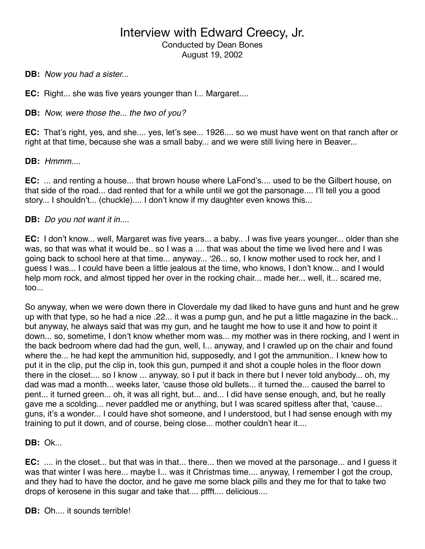## Interview with Edward Creecy, Jr. Conducted by Dean Bones August 19, 2002

**DB:** *Now you had a sister...*

**EC:** Right... she was five years younger than I... Margaret....

**DB:** *Now, were those the... the two of you?*

**EC:** That's right, yes, and she.... yes, let's see... 1926.... so we must have went on that ranch after or right at that time, because she was a small baby... and we were still living here in Beaver...

**DB:** *Hmmm....*

**EC:** ... and renting a house... that brown house where LaFond's.... used to be the Gilbert house, on that side of the road... dad rented that for a while until we got the parsonage.... I'll tell you a good story... I shouldn't... (chuckle).... I don't know if my daughter even knows this...

#### **DB:** *Do you not want it in....*

**EC:** I don't know... well, Margaret was five years... a baby.. .I was five years younger... older than she was, so that was what it would be.. so I was a .... that was about the time we lived here and I was going back to school here at that time... anyway... ʻ26... so, I know mother used to rock her, and I guess I was... I could have been a little jealous at the time, who knows, I don't know... and I would help mom rock, and almost tipped her over in the rocking chair... made her... well, it... scared me, too...

So anyway, when we were down there in Cloverdale my dad liked to have guns and hunt and he grew up with that type, so he had a nice .22... it was a pump gun, and he put a little magazine in the back... but anyway, he always said that was my gun, and he taught me how to use it and how to point it down... so, sometime, I don't know whether mom was... my mother was in there rocking, and I went in the back bedroom where dad had the gun, well, I... anyway, and I crawled up on the chair and found where the... he had kept the ammunition hid, supposedly, and I got the ammunition.. I knew how to put it in the clip, put the clip in, took this gun, pumped it and shot a couple holes in the floor down there in the closet.... so I know ... anyway, so I put it back in there but I never told anybody... oh, my dad was mad a month... weeks later, ʻcause those old bullets... it turned the... caused the barrel to pent... it turned green... oh, it was all right, but... and... I did have sense enough, and, but he really gave me a scolding... never paddled me or anything, but I was scared spitless after that, ʻcause... guns, it's a wonder... I could have shot someone, and I understood, but I had sense enough with my training to put it down, and of course, being close... mother couldn't hear it....

**DB:** Ok...

**EC:** .... in the closet... but that was in that... there... then we moved at the parsonage... and I guess it was that winter I was here... maybe I... was it Christmas time.... anyway, I remember I got the croup, and they had to have the doctor, and he gave me some black pills and they me for that to take two drops of kerosene in this sugar and take that.... pffft.... delicious....

**DB:** Oh.... it sounds terrible!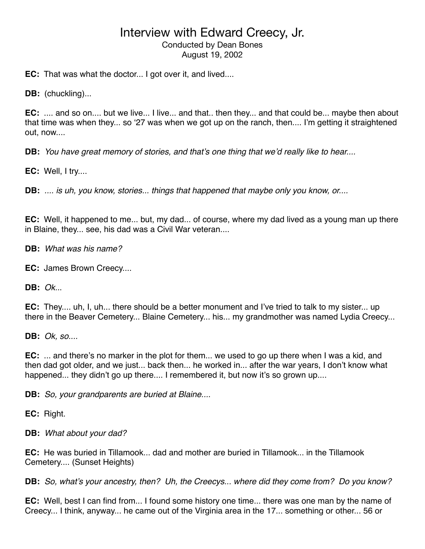## Interview with Edward Creecy, Jr. Conducted by Dean Bones August 19, 2002

**EC:** That was what the doctor... I got over it, and lived....

**DB:** (chuckling)...

**EC:** .... and so on.... but we live... I live... and that.. then they... and that could be... maybe then about that time was when they... so ʻ27 was when we got up on the ranch, then.... I'm getting it straightened out, now....

**DB:** *You have great memory of stories, and that*'*s one thing that we*'*d really like to hear....*

**EC:** Well, I try....

**DB:** *.... is uh, you know, stories... things that happened that maybe only you know, or....*

**EC:** Well, it happened to me... but, my dad... of course, where my dad lived as a young man up there in Blaine, they... see, his dad was a Civil War veteran....

**DB:** *What was his name?*

**EC:** James Brown Creecy....

**DB:** *Ok..*.

**EC:** They.... uh, I, uh... there should be a better monument and I've tried to talk to my sister... up there in the Beaver Cemetery... Blaine Cemetery... his... my grandmother was named Lydia Creecy...

**DB:** *Ok, so....*

**EC:** ... and there's no marker in the plot for them... we used to go up there when I was a kid, and then dad got older, and we just... back then... he worked in... after the war years, I don't know what happened... they didn't go up there.... I remembered it, but now it's so grown up....

**DB:** *So, your grandparents are buried at Blaine....*

**EC:** Right.

**DB:** *What about your dad?*

**EC:** He was buried in Tillamook... dad and mother are buried in Tillamook... in the Tillamook Cemetery.... (Sunset Heights)

**DB:** *So, what*'*s your ancestry, then? Uh, the Creecys... where did they come from? Do you know?*

**EC:** Well, best I can find from... I found some history one time... there was one man by the name of Creecy... I think, anyway... he came out of the Virginia area in the 17... something or other... 56 or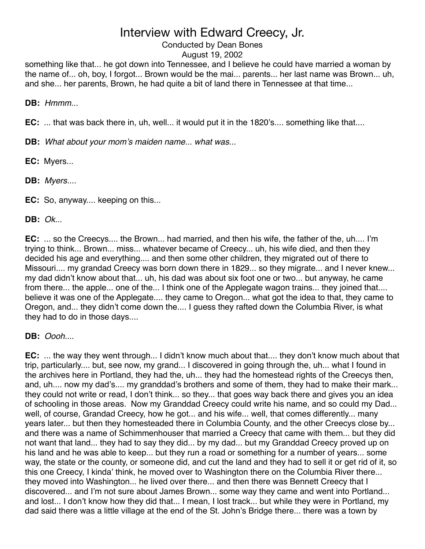## Conducted by Dean Bones

### August 19, 2002

something like that... he got down into Tennessee, and I believe he could have married a woman by the name of... oh, boy, I forgot... Brown would be the mai... parents... her last name was Brown... uh, and she... her parents, Brown, he had quite a bit of land there in Tennessee at that time...

**DB:** *Hmmm...*

**EC:** ... that was back there in, uh, well... it would put it in the 1820's.... something like that....

**DB:** *What about your mom*'*s maiden name... what was...*

**EC:** Myers...

**DB:** *Myers....*

**EC:** So, anyway.... keeping on this...

**DB:** *Ok...*

**EC:** ... so the Creecys.... the Brown... had married, and then his wife, the father of the, uh.... I'm trying to think... Brown... miss... whatever became of Creecy... uh, his wife died, and then they decided his age and everything.... and then some other children, they migrated out of there to Missouri.... my grandad Creecy was born down there in 1829... so they migrate... and I never knew... my dad didn't know about that... uh, his dad was about six foot one or two... but anyway, he came from there... the apple... one of the... I think one of the Applegate wagon trains... they joined that.... believe it was one of the Applegate.... they came to Oregon... what got the idea to that, they came to Oregon, and... they didn't come down the.... I guess they rafted down the Columbia River, is what they had to do in those days....

**DB:** *Oooh....*

**EC:** ... the way they went through... I didn't know much about that.... they don't know much about that trip, particularly.... but, see now, my grand... I discovered in going through the, uh... what I found in the archives here in Portland, they had the, uh... they had the homestead rights of the Creecys then, and, uh.... now my dad's.... my granddad's brothers and some of them, they had to make their mark... they could not write or read, I don't think... so they... that goes way back there and gives you an idea of schooling in those areas. Now my Granddad Creecy could write his name, and so could my Dad... well, of course, Grandad Creecy, how he got... and his wife... well, that comes differently... many years later... but then they homesteaded there in Columbia County, and the other Creecys close by... and there was a name of Schimmenhouser that married a Creecy that came with them... but they did not want that land... they had to say they did... by my dad... but my Granddad Creecy proved up on his land and he was able to keep... but they run a road or something for a number of years... some way, the state or the county, or someone did, and cut the land and they had to sell it or get rid of it, so this one Creecy, I kinda' think, he moved over to Washington there on the Columbia River there... they moved into Washington... he lived over there... and then there was Bennett Creecy that I discovered... and I'm not sure about James Brown... some way they came and went into Portland... and lost... I don't know how they did that... I mean, I lost track... but while they were in Portland, my dad said there was a little village at the end of the St. John's Bridge there... there was a town by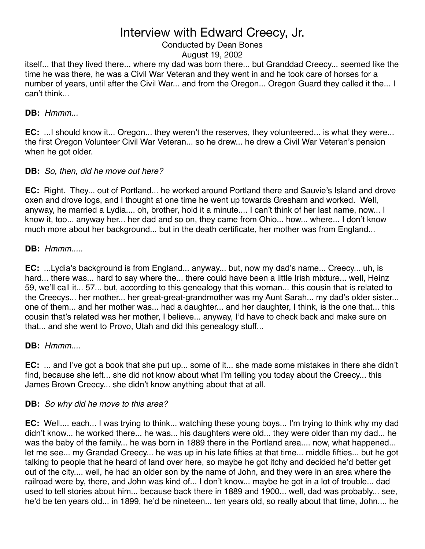#### Conducted by Dean Bones August 19, 2002

itself... that they lived there... where my dad was born there... but Granddad Creecy... seemed like the time he was there, he was a Civil War Veteran and they went in and he took care of horses for a number of years, until after the Civil War... and from the Oregon... Oregon Guard they called it the... I can't think...

## **DB:** *Hmmm...*

**EC:** ...I should know it... Oregon... they weren't the reserves, they volunteered... is what they were... the first Oregon Volunteer Civil War Veteran... so he drew... he drew a Civil War Veteran's pension when he got older.

## **DB:** *So, then, did he move out here?*

**EC:** Right. They... out of Portland... he worked around Portland there and Sauvie's Island and drove oxen and drove logs, and I thought at one time he went up towards Gresham and worked. Well, anyway, he married a Lydia.... oh, brother, hold it a minute.... I can't think of her last name, now... I know it, too... anyway her... her dad and so on, they came from Ohio... how... where... I don't know much more about her background... but in the death certificate, her mother was from England...

## **DB:** *Hmmm.....*

**EC:** ...Lydia's background is from England... anyway... but, now my dad's name... Creecy... uh, is hard... there was... hard to say where the... there could have been a little Irish mixture... well, Heinz 59, we'll call it... 57... but, according to this genealogy that this woman... this cousin that is related to the Creecys... her mother... her great-great-grandmother was my Aunt Sarah... my dad's older sister... one of them... and her mother was... had a daughter... and her daughter, I think, is the one that... this cousin that's related was her mother, I believe... anyway, I'd have to check back and make sure on that... and she went to Provo, Utah and did this genealogy stuff...

## **DB:** *Hmmm....*

**EC:** ... and I've got a book that she put up... some of it... she made some mistakes in there she didn't find, because she left... she did not know about what I'm telling you today about the Creecy... this James Brown Creecy... she didn't know anything about that at all.

## **DB:** *So why did he move to this area?*

**EC:** Well.... each... I was trying to think... watching these young boys... I'm trying to think why my dad didn't know... he worked there... he was... his daughters were old... they were older than my dad... he was the baby of the family... he was born in 1889 there in the Portland area.... now, what happened... let me see... my Grandad Creecy... he was up in his late fifties at that time... middle fifties... but he got talking to people that he heard of land over here, so maybe he got itchy and decided he'd better get out of the city.... well, he had an older son by the name of John, and they were in an area where the railroad were by, there, and John was kind of... I don't know... maybe he got in a lot of trouble... dad used to tell stories about him... because back there in 1889 and 1900... well, dad was probably... see, he'd be ten years old... in 1899, he'd be nineteen... ten years old, so really about that time, John.... he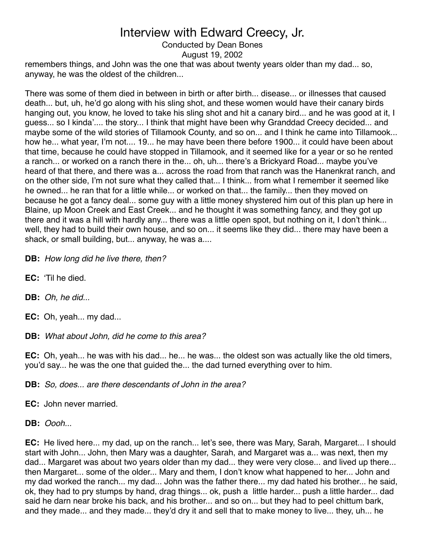### Conducted by Dean Bones

August 19, 2002

remembers things, and John was the one that was about twenty years older than my dad... so, anyway, he was the oldest of the children...

There was some of them died in between in birth or after birth... disease... or illnesses that caused death... but, uh, he'd go along with his sling shot, and these women would have their canary birds hanging out, you know, he loved to take his sling shot and hit a canary bird... and he was good at it, I guess... so I kinda'.... the story... I think that might have been why Granddad Creecy decided... and maybe some of the wild stories of Tillamook County, and so on... and I think he came into Tillamook... how he... what year, I'm not.... 19... he may have been there before 1900... it could have been about that time, because he could have stopped in Tillamook, and it seemed like for a year or so he rented a ranch... or worked on a ranch there in the... oh, uh... there's a Brickyard Road... maybe you've heard of that there, and there was a... across the road from that ranch was the Hanenkrat ranch, and on the other side, I'm not sure what they called that... I think... from what I remember it seemed like he owned... he ran that for a little while... or worked on that... the family... then they moved on because he got a fancy deal... some guy with a little money shystered him out of this plan up here in Blaine, up Moon Creek and East Creek... and he thought it was something fancy, and they got up there and it was a hill with hardly any... there was a little open spot, but nothing on it, I don't think... well, they had to build their own house, and so on... it seems like they did... there may have been a shack, or small building, but... anyway, he was a....

**DB:** *How long did he live there, then?*

- **EC:** ʻTil he died.
- **DB:** *Oh, he did...*
- **EC:** Oh, yeah... my dad...

**DB:** *What about John, did he come to this area?*

**EC:** Oh, yeah... he was with his dad... he... he was... the oldest son was actually like the old timers, you'd say... he was the one that guided the... the dad turned everything over to him.

**DB:** *So, does... are there descendants of John in the area?*

**EC:** John never married.

**DB:** *Oooh...*

**EC:** He lived here... my dad, up on the ranch... let's see, there was Mary, Sarah, Margaret... I should start with John... John, then Mary was a daughter, Sarah, and Margaret was a... was next, then my dad... Margaret was about two years older than my dad... they were very close... and lived up there... then Margaret... some of the older... Mary and them, I don't know what happened to her... John and my dad worked the ranch... my dad... John was the father there... my dad hated his brother... he said, ok, they had to pry stumps by hand, drag things... ok, push a little harder... push a little harder... dad said he darn near broke his back, and his brother... and so on... but they had to peel chittum bark, and they made... and they made... they'd dry it and sell that to make money to live... they, uh... he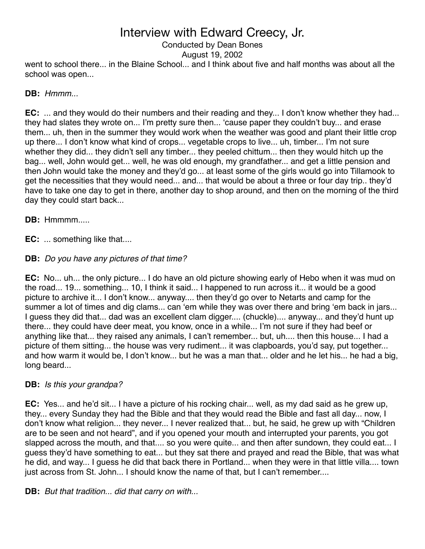## Interview with Edward Creecy, Jr. Conducted by Dean Bones

went to school there... in the Blaine School... and I think about five and half months was about all the school was open... August 19, 2002

### **DB:** *Hmmm...*

**EC:** ... and they would do their numbers and their reading and they... I don't know whether they had... they had slates they wrote on... I'm pretty sure then... ʻcause paper they couldn't buy... and erase them... uh, then in the summer they would work when the weather was good and plant their little crop up there... I don't know what kind of crops... vegetable crops to live... uh, timber... I'm not sure whether they did... they didn't sell any timber... they peeled chittum... then they would hitch up the bag... well, John would get... well, he was old enough, my grandfather... and get a little pension and then John would take the money and they'd go... at least some of the girls would go into Tillamook to get the necessities that they would need... and... that would be about a three or four day trip.. they'd have to take one day to get in there, another day to shop around, and then on the morning of the third day they could start back...

**DB:** Hmmmm.....

**EC:** ... something like that....

## **DB:** *Do you have any pictures of that time?*

**EC:** No... uh... the only picture... I do have an old picture showing early of Hebo when it was mud on the road... 19... something... 10, I think it said... I happened to run across it... it would be a good picture to archive it... I don't know... anyway.... then they'd go over to Netarts and camp for the summer a lot of times and dig clams... can 'em while they was over there and bring 'em back in jars... I guess they did that... dad was an excellent clam digger.... (chuckle).... anyway... and they'd hunt up there... they could have deer meat, you know, once in a while... I'm not sure if they had beef or anything like that... they raised any animals, I can't remember... but, uh.... then this house... I had a picture of them sitting... the house was very rudiment... it was clapboards, you'd say, put together... and how warm it would be, I don't know... but he was a man that... older and he let his... he had a big, long beard...

### **DB:** *Is this your grandpa?*

**EC:** Yes... and he'd sit... I have a picture of his rocking chair... well, as my dad said as he grew up, they... every Sunday they had the Bible and that they would read the Bible and fast all day... now, I don't know what religion... they never... I never realized that... but, he said, he grew up with "Children are to be seen and not heard", and if you opened your mouth and interrupted your parents, you got slapped across the mouth, and that.... so you were quite... and then after sundown, they could eat... I guess they'd have something to eat... but they sat there and prayed and read the Bible, that was what he did, and way... I guess he did that back there in Portland... when they were in that little villa.... town just across from St. John... I should know the name of that, but I can't remember....

**DB:** *But that tradition... did that carry on with...*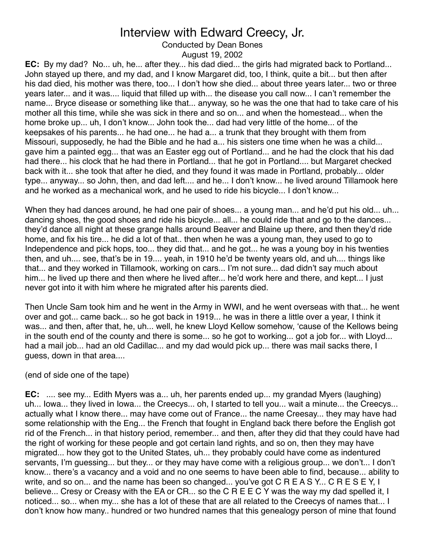Conducted by Dean Bones

August 19, 2002

**EC:** By my dad? No... uh, he... after they... his dad died... the girls had migrated back to Portland... John stayed up there, and my dad, and I know Margaret did, too, I think, quite a bit... but then after his dad died, his mother was there, too... I don't how she died... about three years later... two or three years later... and it was.... liquid that filled up with... the disease you call now... I can't remember the name... Bryce disease or something like that... anyway, so he was the one that had to take care of his mother all this time, while she was sick in there and so on... and when the homestead... when the home broke up... uh, I don't know... John took the... dad had very little of the home... of the keepsakes of his parents... he had one... he had a... a trunk that they brought with them from Missouri, supposedly, he had the Bible and he had a... his sisters one time when he was a child... gave him a painted egg... that was an Easter egg out of Portland... and he had the clock that his dad had there... his clock that he had there in Portland... that he got in Portland.... but Margaret checked back with it... she took that after he died, and they found it was made in Portland, probably... older type... anyway... so John, then, and dad left.... and he... I don't know... he lived around Tillamook here and he worked as a mechanical work, and he used to ride his bicycle... I don't know...

When they had dances around, he had one pair of shoes... a young man... and he'd put his old... uh... dancing shoes, the good shoes and ride his bicycle... all... he could ride that and go to the dances... they'd dance all night at these grange halls around Beaver and Blaine up there, and then they'd ride home, and fix his tire... he did a lot of that.. then when he was a young man, they used to go to Independence and pick hops, too... they did that... and he got... he was a young boy in his twenties then, and uh.... see, that's be in 19.... yeah, in 1910 he'd be twenty years old, and uh.... things like that... and they worked in Tillamook, working on cars... I'm not sure... dad didn't say much about him... he lived up there and then where he lived after... he'd work here and there, and kept... I just never got into it with him where he migrated after his parents died.

Then Uncle Sam took him and he went in the Army in WWI, and he went overseas with that... he went over and got... came back... so he got back in 1919... he was in there a little over a year, I think it was... and then, after that, he, uh... well, he knew Lloyd Kellow somehow, ʻcause of the Kellows being in the south end of the county and there is some... so he got to working... got a job for... with Lloyd... had a mail job... had an old Cadillac... and my dad would pick up... there was mail sacks there, I guess, down in that area....

(end of side one of the tape)

**EC:** .... see my... Edith Myers was a... uh, her parents ended up... my grandad Myers (laughing) uh... Iowa... they lived in Iowa... the Creecys... oh, I started to tell you... wait a minute... the Creecys... actually what I know there... may have come out of France... the name Creesay... they may have had some relationship with the Eng... the French that fought in England back there before the English got rid of the French... in that history period, remember... and then, after they did that they could have had the right of working for these people and got certain land rights, and so on, then they may have migrated... how they got to the United States, uh... they probably could have come as indentured servants, I'm guessing... but they... or they may have come with a religious group... we don't... I don't know... there's a vacancy and a void and no one seems to have been able to find, because... ability to write, and so on... and the name has been so changed... you've got C R E A S Y... C R E S E Y, I believe... Cresy or Creasy with the EA or CR... so the C R E E C Y was the way my dad spelled it, I noticed... so... when my... she has a lot of these that are all related to the Creecys of names that... I don't know how many.. hundred or two hundred names that this genealogy person of mine that found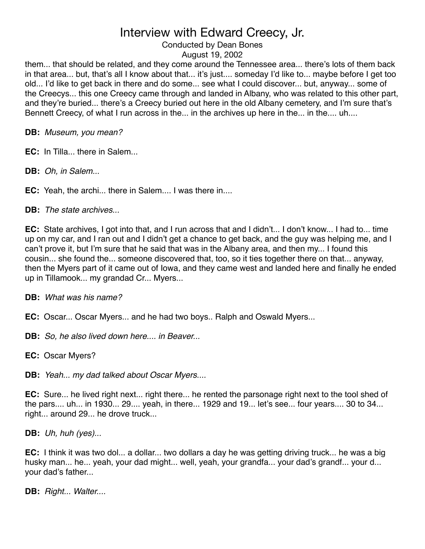## Conducted by Dean Bones

### August 19, 2002

them... that should be related, and they come around the Tennessee area... there's lots of them back in that area... but, that's all I know about that... it's just.... someday I'd like to... maybe before I get too old... I'd like to get back in there and do some... see what I could discover... but, anyway... some of the Creecys... this one Creecy came through and landed in Albany, who was related to this other part, and they're buried... there's a Creecy buried out here in the old Albany cemetery, and I'm sure that's Bennett Creecy, of what I run across in the... in the archives up here in the... in the.... uh....

**DB:** *Museum, you mean?*

**EC:** In Tilla... there in Salem...

**DB:** *Oh, in Salem...*

**EC:** Yeah, the archi... there in Salem.... I was there in....

**DB:** *The state archives...*

**EC:** State archives, I got into that, and I run across that and I didn't... I don't know... I had to... time up on my car, and I ran out and I didn't get a chance to get back, and the guy was helping me, and I can't prove it, but I'm sure that he said that was in the Albany area, and then my... I found this cousin... she found the... someone discovered that, too, so it ties together there on that... anyway, then the Myers part of it came out of Iowa, and they came west and landed here and finally he ended up in Tillamook... my grandad Cr... Myers...

**DB:** *What was his name?*

**EC:** Oscar... Oscar Myers... and he had two boys.. Ralph and Oswald Myers...

**DB:** *So, he also lived down here.... in Beaver...*

**EC:** Oscar Myers?

**DB:** *Yeah... my dad talked about Oscar Myers....*

**EC:** Sure... he lived right next... right there... he rented the parsonage right next to the tool shed of the pars.... uh... in 1930... 29.... yeah, in there... 1929 and 19... let's see... four years.... 30 to 34... right... around 29... he drove truck...

**DB:** *Uh, huh (yes)...*

**EC:** I think it was two dol... a dollar... two dollars a day he was getting driving truck... he was a big husky man... he... yeah, your dad might... well, yeah, your grandfa... your dad's grandf... your d... your dad's father...

**DB:** *Right... Walter....*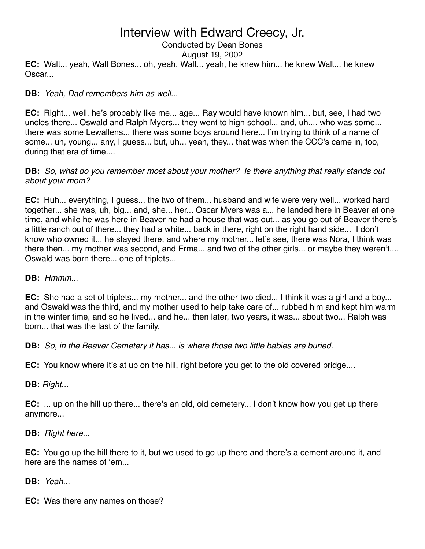## Interview with Edward Creecy, Jr. Conducted by Dean Bones

**EC:** Walt... yeah, Walt Bones... oh, yeah, Walt... yeah, he knew him... he knew Walt... he knew Oscar... August 19, 2002

### **DB:** *Yeah, Dad remembers him as well...*

**EC:** Right... well, he's probably like me... age... Ray would have known him... but, see, I had two uncles there... Oswald and Ralph Myers... they went to high school... and, uh.... who was some... there was some Lewallens... there was some boys around here... I'm trying to think of a name of some... uh, young... any, I guess... but, uh... yeah, they... that was when the CCC's came in, too, during that era of time....

### **DB:** *So, what do you remember most about your mother? Is there anything that really stands out about your mom?*

**EC:** Huh... everything, I guess... the two of them... husband and wife were very well... worked hard together... she was, uh, big... and, she... her... Oscar Myers was a... he landed here in Beaver at one time, and while he was here in Beaver he had a house that was out... as you go out of Beaver there's a little ranch out of there... they had a white... back in there, right on the right hand side... I don't know who owned it... he stayed there, and where my mother... let's see, there was Nora, I think was there then... my mother was second, and Erma... and two of the other girls... or maybe they weren't.... Oswald was born there... one of triplets...

**DB:** *Hmmm...*

**EC:** She had a set of triplets... my mother... and the other two died... I think it was a girl and a boy... and Oswald was the third, and my mother used to help take care of... rubbed him and kept him warm in the winter time, and so he lived... and he... then later, two years, it was... about two... Ralph was born... that was the last of the family.

**DB:** *So, in the Beaver Cemetery it has... is where those two little babies are buried.*

**EC:** You know where it's at up on the hill, right before you get to the old covered bridge....

**DB:** *Right...*

**EC:** ... up on the hill up there... there's an old, old cemetery... I don't know how you get up there anymore...

**DB:** *Right here...*

**EC:** You go up the hill there to it, but we used to go up there and there's a cement around it, and here are the names of ʻem...

**DB:** *Yeah...*

**EC:** Was there any names on those?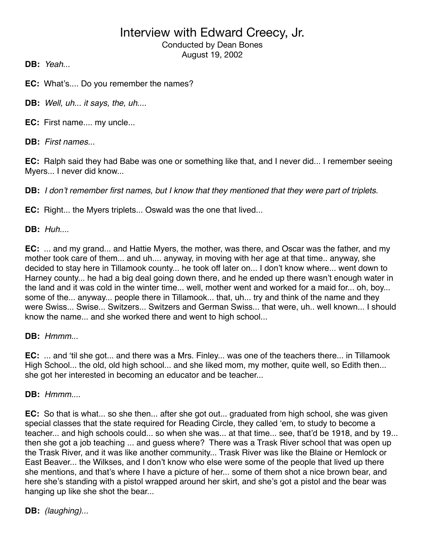Conducted by Dean Bones August 19, 2002

**DB:** *Yeah...*

**EC:** What's.... Do you remember the names?

**DB:** *Well, uh... it says, the, uh*....

**EC:** First name.... my uncle...

**DB:** *First names...*

**EC:** Ralph said they had Babe was one or something like that, and I never did... I remember seeing Myers... I never did know...

**DB:** *I don*'*t remember first names, but I know that they mentioned that they were part of triplets.*

**EC:** Right... the Myers triplets... Oswald was the one that lived...

**DB:** *Huh....*

**EC:** ... and my grand... and Hattie Myers, the mother, was there, and Oscar was the father, and my mother took care of them... and uh.... anyway, in moving with her age at that time.. anyway, she decided to stay here in Tillamook county... he took off later on... I don't know where... went down to Harney county... he had a big deal going down there, and he ended up there wasn't enough water in the land and it was cold in the winter time... well, mother went and worked for a maid for... oh, boy... some of the... anyway... people there in Tillamook... that, uh... try and think of the name and they were Swiss... Swise... Switzers... Switzers and German Swiss... that were, uh.. well known... I should know the name... and she worked there and went to high school...

**DB:** *Hmmm...*

**EC:** ... and ʻtil she got... and there was a Mrs. Finley... was one of the teachers there... in Tillamook High School... the old, old high school... and she liked mom, my mother, quite well, so Edith then... she got her interested in becoming an educator and be teacher...

**DB:** *Hmmm....*

**EC:** So that is what... so she then... after she got out... graduated from high school, she was given special classes that the state required for Reading Circle, they called ʻem, to study to become a teacher... and high schools could... so when she was... at that time... see, that'd be 1918, and by 19... then she got a job teaching ... and guess where? There was a Trask River school that was open up the Trask River, and it was like another community... Trask River was like the Blaine or Hemlock or East Beaver... the Wilkses, and I don't know who else were some of the people that lived up there she mentions, and that's where I have a picture of her... some of them shot a nice brown bear, and here she's standing with a pistol wrapped around her skirt, and she's got a pistol and the bear was hanging up like she shot the bear...

**DB:** *(laughing)...*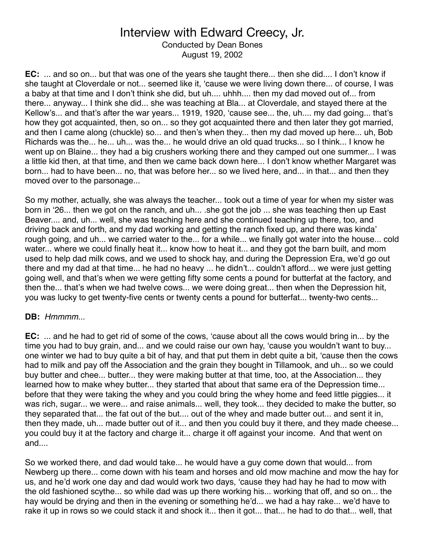Conducted by Dean Bones August 19, 2002

**EC:** ... and so on... but that was one of the years she taught there... then she did.... I don't know if she taught at Cloverdale or not... seemed like it, ʻcause we were living down there... of course, I was a baby at that time and I don't think she did, but uh.... uhhh.... then my dad moved out of... from there... anyway... I think she did... she was teaching at Bla... at Cloverdale, and stayed there at the Kellow's... and that's after the war years... 1919, 1920, ʻcause see... the, uh.... my dad going... that's how they got acquainted, then, so on... so they got acquainted there and then later they got married, and then I came along (chuckle) so... and then's when they... then my dad moved up here... uh, Bob Richards was the... he... uh... was the... he would drive an old quad trucks... so I think... I know he went up on Blaine... they had a big crushers working there and they camped out one summer... I was a little kid then, at that time, and then we came back down here... I don't know whether Margaret was born... had to have been... no, that was before her... so we lived here, and... in that... and then they moved over to the parsonage...

So my mother, actually, she was always the teacher... took out a time of year for when my sister was born in ʻ26... then we got on the ranch, and uh... .she got the job ... she was teaching then up East Beaver.... and, uh... well, she was teaching here and she continued teaching up there, too, and driving back and forth, and my dad working and getting the ranch fixed up, and there was kinda' rough going, and uh... we carried water to the... for a while... we finally got water into the house... cold water... where we could finally heat it... know how to heat it... and they got the barn built, and mom used to help dad milk cows, and we used to shock hay, and during the Depression Era, we'd go out there and my dad at that time... he had no heavy ... he didn't... couldn't afford... we were just getting going well, and that's when we were getting fifty some cents a pound for butterfat at the factory, and then the... that's when we had twelve cows... we were doing great... then when the Depression hit, you was lucky to get twenty-five cents or twenty cents a pound for butterfat... twenty-two cents...

### **DB:** *Hmmmm...*

**EC:** ... and he had to get rid of some of the cows, ʻcause about all the cows would bring in... by the time you had to buy grain, and... and we could raise our own hay, ʻcause you wouldn't want to buy... one winter we had to buy quite a bit of hay, and that put them in debt quite a bit, ʻcause then the cows had to milk and pay off the Association and the grain they bought in Tillamook, and uh... so we could buy butter and chee... butter... they were making butter at that time, too, at the Association... they learned how to make whey butter... they started that about that same era of the Depression time... before that they were taking the whey and you could bring the whey home and feed little piggies... it was rich, sugar... we were... and raise animals... well, they took... they decided to make the butter, so they separated that... the fat out of the but.... out of the whey and made butter out... and sent it in, then they made, uh... made butter out of it... and then you could buy it there, and they made cheese... you could buy it at the factory and charge it... charge it off against your income. And that went on and....

So we worked there, and dad would take... he would have a guy come down that would... from Newberg up there... come down with his team and horses and old mow machine and mow the hay for us, and he'd work one day and dad would work two days, ʻcause they had hay he had to mow with the old fashioned scythe... so while dad was up there working his... working that off, and so on... the hay would be drying and then in the evening or something he'd... we had a hay rake... we'd have to rake it up in rows so we could stack it and shock it... then it got... that... he had to do that... well, that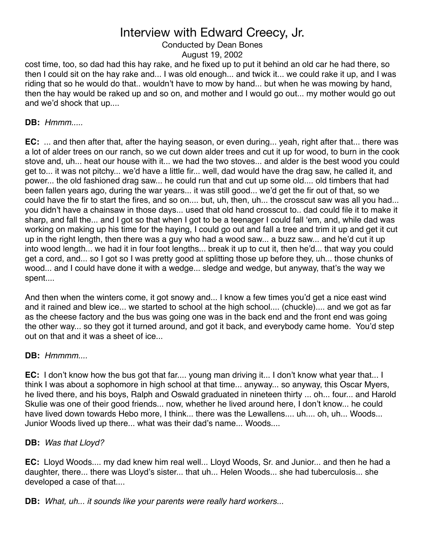# Conducted by Dean Bones

August 19, 2002

cost time, too, so dad had this hay rake, and he fixed up to put it behind an old car he had there, so then I could sit on the hay rake and... I was old enough... and twick it... we could rake it up, and I was riding that so he would do that.. wouldn't have to mow by hand... but when he was mowing by hand, then the hay would be raked up and so on, and mother and I would go out... my mother would go out and we'd shock that up....

### **DB:** *Hmmm.....*

**EC:** ... and then after that, after the haying season, or even during... yeah, right after that... there was a lot of alder trees on our ranch, so we cut down alder trees and cut it up for wood, to burn in the cook stove and, uh... heat our house with it... we had the two stoves... and alder is the best wood you could get to... it was not pitchy... we'd have a little fir... well, dad would have the drag saw, he called it, and power... the old fashioned drag saw... he could run that and cut up some old.... old timbers that had been fallen years ago, during the war years... it was still good... we'd get the fir out of that, so we could have the fir to start the fires, and so on.... but, uh, then, uh... the crosscut saw was all you had... you didn't have a chainsaw in those days... used that old hand crosscut to.. dad could file it to make it sharp, and fall the... and I got so that when I got to be a teenager I could fall ʻem, and, while dad was working on making up his time for the haying, I could go out and fall a tree and trim it up and get it cut up in the right length, then there was a guy who had a wood saw... a buzz saw... and he'd cut it up into wood length... we had it in four foot lengths... break it up to cut it, then he'd... that way you could get a cord, and... so I got so I was pretty good at splitting those up before they, uh... those chunks of wood... and I could have done it with a wedge... sledge and wedge, but anyway, that's the way we spent....

And then when the winters come, it got snowy and... I know a few times you'd get a nice east wind and it rained and blew ice... we started to school at the high school.... (chuckle).... and we got as far as the cheese factory and the bus was going one was in the back end and the front end was going the other way... so they got it turned around, and got it back, and everybody came home. You'd step out on that and it was a sheet of ice...

### **DB:** *Hmmmm....*

**EC:** I don't know how the bus got that far.... young man driving it... I don't know what year that... I think I was about a sophomore in high school at that time... anyway... so anyway, this Oscar Myers, he lived there, and his boys, Ralph and Oswald graduated in nineteen thirty ... oh... four... and Harold Skulie was one of their good friends... now, whether he lived around here, I don't know... he could have lived down towards Hebo more, I think... there was the Lewallens.... uh.... oh, uh... Woods... Junior Woods lived up there... what was their dad's name... Woods....

## **DB:** *Was that Lloyd?*

**EC:** Lloyd Woods.... my dad knew him real well... Lloyd Woods, Sr. and Junior... and then he had a daughter, there... there was Lloyd's sister... that uh... Helen Woods... she had tuberculosis... she developed a case of that....

### **DB:** *What, uh... it sounds like your parents were really hard workers...*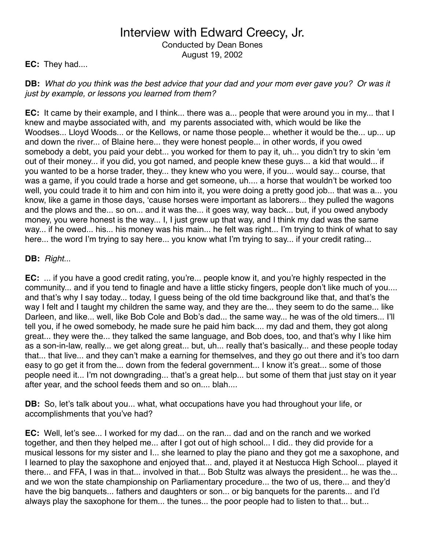Conducted by Dean Bones August 19, 2002

## **EC:** They had....

**DB:** *What do you think was the best advice that your dad and your mom ever gave you? Or was it just by example, or lessons you learned from them?*

**EC:** It came by their example, and I think... there was a... people that were around you in my... that I knew and maybe associated with, and my parents associated with, which would be like the Woodses... Lloyd Woods... or the Kellows, or name those people... whether it would be the... up... up and down the river... of Blaine here... they were honest people... in other words, if you owed somebody a debt, you paid your debt... you worked for them to pay it, uh... you didn't try to skin ʻem out of their money... if you did, you got named, and people knew these guys... a kid that would... if you wanted to be a horse trader, they... they knew who you were, if you... would say... course, that was a game, if you could trade a horse and get someone, uh.... a horse that wouldn't be worked too well, you could trade it to him and con him into it, you were doing a pretty good job... that was a... you know, like a game in those days, ʻcause horses were important as laborers... they pulled the wagons and the plows and the... so on... and it was the... it goes way, way back... but, if you owed anybody money, you were honest is the way... I, I just grew up that way, and I think my dad was the same way... if he owed... his... his money was his main... he felt was right... I'm trying to think of what to say here... the word I'm trying to say here... you know what I'm trying to say... if your credit rating...

## **DB:** *Right..*.

**EC:** ... if you have a good credit rating, you're... people know it, and you're highly respected in the community... and if you tend to finagle and have a little sticky fingers, people don't like much of you.... and that's why I say today... today, I guess being of the old time background like that, and that's the way I felt and I taught my children the same way, and they are the... they seem to do the same... like Darleen, and like... well, like Bob Cole and Bob's dad... the same way... he was of the old timers... I'll tell you, if he owed somebody, he made sure he paid him back.... my dad and them, they got along great... they were the... they talked the same language, and Bob does, too, and that's why I like him as a son-in-law, really... we get along great... but, uh... really that's basically... and these people today that... that live... and they can't make a earning for themselves, and they go out there and it's too darn easy to go get it from the... down from the federal government... I know it's great... some of those people need it... I'm not downgrading... that's a great help... but some of them that just stay on it year after year, and the school feeds them and so on.... blah....

**DB:** So, let's talk about you... what, what occupations have you had throughout your life, or accomplishments that you've had?

**EC:** Well, let's see... I worked for my dad... on the ran... dad and on the ranch and we worked together, and then they helped me... after I got out of high school... I did.. they did provide for a musical lessons for my sister and I... she learned to play the piano and they got me a saxophone, and I learned to play the saxophone and enjoyed that... and, played it at Nestucca High School... played it there... and FFA, I was in that... involved in that... Bob Stultz was always the president... he was the... and we won the state championship on Parliamentary procedure... the two of us, there... and they'd have the big banquets... fathers and daughters or son... or big banquets for the parents... and I'd always play the saxophone for them... the tunes... the poor people had to listen to that... but...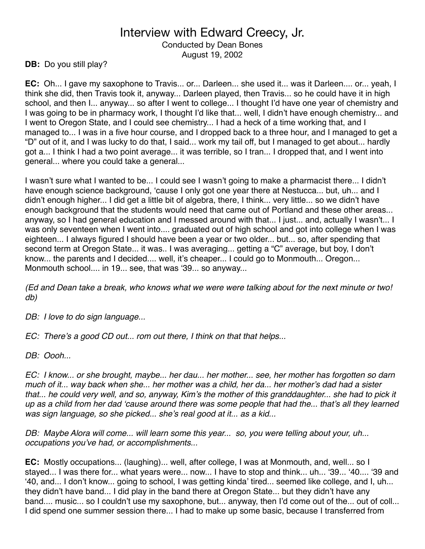Conducted by Dean Bones August 19, 2002

**DB:** Do you still play?

**EC:** Oh... I gave my saxophone to Travis... or... Darleen... she used it... was it Darleen.... or... yeah, I think she did, then Travis took it, anyway... Darleen played, then Travis... so he could have it in high school, and then I... anyway... so after I went to college... I thought I'd have one year of chemistry and I was going to be in pharmacy work, I thought I'd like that... well, I didn't have enough chemistry... and I went to Oregon State, and I could see chemistry... I had a heck of a time working that, and I managed to... I was in a five hour course, and I dropped back to a three hour, and I managed to get a "D" out of it, and I was lucky to do that, I said... work my tail off, but I managed to get about... hardly got a... I think I had a two point average... it was terrible, so I tran... I dropped that, and I went into general... where you could take a general...

I wasn't sure what I wanted to be... I could see I wasn't going to make a pharmacist there... I didn't have enough science background, ʻcause I only got one year there at Nestucca... but, uh... and I didn't enough higher... I did get a little bit of algebra, there, I think... very little... so we didn't have enough background that the students would need that came out of Portland and these other areas... anyway, so I had general education and I messed around with that... I just... and, actually I wasn't... I was only seventeen when I went into.... graduated out of high school and got into college when I was eighteen... I always figured I should have been a year or two older... but... so, after spending that second term at Oregon State... it was.. I was averaging... getting a "C" average, but boy, I don't know... the parents and I decided.... well, it's cheaper... I could go to Monmouth... Oregon... Monmouth school.... in 19... see, that was ʻ39... so anyway...

*(Ed and Dean take a break, who knows what we were were talking about for the next minute or two! db)*

*DB: I love to do sign language...*

*EC: There*'*s a good CD out... rom out there, I think on that that helps...*

*DB: Oooh...*

*EC: I know... or she brought, maybe... her dau... her mother... see, her mother has forgotten so darn much of it... way back when she... her mother was a child, her da... her mother*'*s dad had a sister that... he could very well, and so, anyway, Kim*'*s the mother of this granddaughter... she had to pick it up as a child from her dad* ʻ*cause around there was some people that had the... that*'*s all they learned was sign language, so she picked... she*'*s real good at it... as a kid...*

*DB: Maybe Alora will come... will learn some this year... so, you were telling about your, uh... occupations you*'*ve had, or accomplishments...*

**EC:** Mostly occupations... (laughing)... well, after college, I was at Monmouth, and, well... so I stayed... I was there for... what years were... now... I have to stop and think... uh... ʻ39... ʻ40.... ʻ39 and ʻ40, and... I don't know... going to school, I was getting kinda' tired... seemed like college, and I, uh... they didn't have band... I did play in the band there at Oregon State... but they didn't have any band.... music... so I couldn't use my saxophone, but... anyway, then I'd come out of the... out of coll... I did spend one summer session there... I had to make up some basic, because I transferred from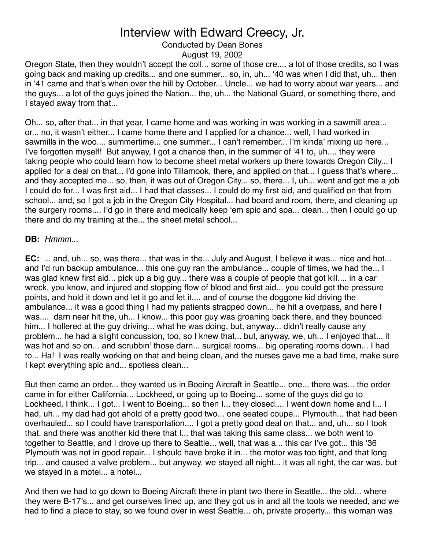## Conducted by Dean Bones

August 19, 2002

Oregon State, then they wouldn't accept the coll... some of those cre.... a lot of those credits, so I was going back and making up credits... and one summer... so, in, uh... ʻ40 was when I did that, uh... then in ʻ41 came and that's when over the hill by October... Uncle... we had to worry about war years... and the guys... a lot of the guys joined the Nation... the, uh... the National Guard, or something there, and I stayed away from that...

Oh... so, after that... in that year, I came home and was working in was working in a sawmill area... or... no, it wasn't either... I came home there and I applied for a chance... well, I had worked in sawmills in the woo.... summertime... one summer... I can't remember... I'm kinda' mixing up here... I've forgotten myself! But anyway, I got a chance then, in the summer of ʻ41 to, uh.... they were taking people who could learn how to become sheet metal workers up there towards Oregon City... I applied for a deal on that... I'd gone into Tillamook, there, and applied on that... I guess that's where... and they accepted me... so, then, it was out of Oregon City... so, there... I, uh... went and got me a job I could do for... I was first aid... I had that classes... I could do my first aid, and qualified on that from school... and, so I got a job in the Oregon City Hospital... had board and room, there, and cleaning up the surgery rooms.... I'd go in there and medically keep ʻem spic and spa... clean... then I could go up there and do my training at the... the sheet metal school...

### **DB:** *Hmmm...*

**EC:** ... and, uh... so, was there... that was in the... July and August, I believe it was... nice and hot... and I'd run backup ambulance... this one guy ran the ambulance... couple of times, we had the... I was glad knew first aid... pick up a big guy... there was a couple of people that got kill.... in a car wreck, you know, and injured and stopping flow of blood and first aid... you could get the pressure points, and hold it down and let it go and let it.... and of course the doggone kid driving the ambulance... it was a good thing I had my patients strapped down... he hit a overpass, and here I was.... darn near hit the, uh... I know... this poor guy was groaning back there, and they bounced him... I hollered at the guy driving... what he was doing, but, anyway... didn't really cause any problem... he had a slight concussion, too, so I knew that... but, anyway, we, uh... I enjoyed that... it was hot and so on... and scrubbin' those darn... surgical rooms... big operating rooms down... I had to... Ha! I was really working on that and being clean, and the nurses gave me a bad time, make sure I kept everything spic and... spotless clean...

But then came an order... they wanted us in Boeing Aircraft in Seattle... one... there was... the order came in for either California... Lockheed, or going up to Boeing... some of the guys did go to Lockheed, I think... I got... I went to Boeing... so then I... they closed.... I went down home and I... I had, uh... my dad had got ahold of a pretty good two... one seated coupe... Plymouth... that had been overhauled... so I could have transportation.... I got a pretty good deal on that... and, uh... so I took that, and there was another kid there that I... that was taking this same class... we both went to together to Seattle, and I drove up there to Seattle... well, that was a... this car I've got... this ʻ36 Plymouth was not in good repair... I should have broke it in... the motor was too tight, and that long trip... and caused a valve problem... but anyway, we stayed all night... it was all right, the car was, but we stayed in a motel... a hotel...

And then we had to go down to Boeing Aircraft there in plant two there in Seattle... the old... where they were B-17's... and get ourselves lined up, and they got us in and all the tools we needed, and we had to find a place to stay, so we found over in west Seattle... oh, private property... this woman was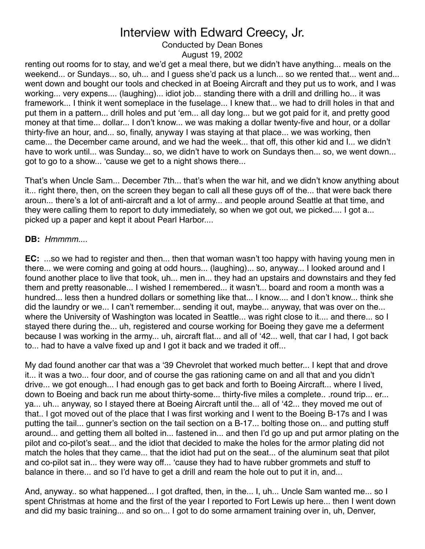Conducted by Dean Bones

August 19, 2002

renting out rooms for to stay, and we'd get a meal there, but we didn't have anything... meals on the weekend... or Sundays... so, uh... and I guess she'd pack us a lunch... so we rented that... went and... went down and bought our tools and checked in at Boeing Aircraft and they put us to work, and I was working... very expens.... (laughing)... idiot job... standing there with a drill and drilling ho... it was framework... I think it went someplace in the fuselage... I knew that... we had to drill holes in that and put them in a pattern... drill holes and put ʻem... all day long... but we got paid for it, and pretty good money at that time... dollar... I don't know... we was making a dollar twenty-five and hour, or a dollar thirty-five an hour, and... so, finally, anyway I was staying at that place... we was working, then came... the December came around, and we had the week... that off, this other kid and I... we didn't have to work until... was Sunday... so, we didn't have to work on Sundays then... so, we went down... got to go to a show... ʻcause we get to a night shows there...

That's when Uncle Sam... December 7th... that's when the war hit, and we didn't know anything about it... right there, then, on the screen they began to call all these guys off of the... that were back there aroun... there's a lot of anti-aircraft and a lot of army... and people around Seattle at that time, and they were calling them to report to duty immediately, so when we got out, we picked.... I got a... picked up a paper and kept it about Pearl Harbor....

### **DB:** *Hmmmm....*

**EC:** ...so we had to register and then... then that woman wasn't too happy with having young men in there... we were coming and going at odd hours... (laughing)... so, anyway... I looked around and I found another place to live that took, uh... men in... they had an upstairs and downstairs and they fed them and pretty reasonable... I wished I remembered... it wasn't... board and room a month was a hundred... less then a hundred dollars or something like that... I know.... and I don't know... think she did the laundry or we... I can't remember... sending it out, maybe... anyway, that was over on the... where the University of Washington was located in Seattle... was right close to it.... and there... so I stayed there during the... uh, registered and course working for Boeing they gave me a deferment because I was working in the army... uh, aircraft flat... and all of ʻ42... well, that car I had, I got back to... had to have a valve fixed up and I got it back and we traded it off...

My dad found another car that was a ʻ39 Chevrolet that worked much better... I kept that and drove it... it was a two... four door, and of course the gas rationing came on and all that and you didn't drive... we got enough... I had enough gas to get back and forth to Boeing Aircraft... where I lived, down to Boeing and back run me about thirty-some... thirty-five miles a complete.. .round trip... er... ya... uh... anyway, so I stayed there at Boeing Aircraft until the... all of ʻ42... they moved me out of that.. I got moved out of the place that I was first working and I went to the Boeing B-17s and I was putting the tail... gunner's section on the tail section on a B-17... bolting those on... and putting stuff around... and getting them all bolted in... fastened in... and then I'd go up and put armor plating on the pilot and co-pilot's seat... and the idiot that decided to make the holes for the armor plating did not match the holes that they came... that the idiot had put on the seat... of the aluminum seat that pilot and co-pilot sat in... they were way off... ʻcause they had to have rubber grommets and stuff to balance in there... and so I'd have to get a drill and ream the hole out to put it in, and...

And, anyway.. so what happened... I got drafted, then, in the... I, uh... Uncle Sam wanted me... so I spent Christmas at home and the first of the year I reported to Fort Lewis up here... then I went down and did my basic training... and so on... I got to do some armament training over in, uh, Denver,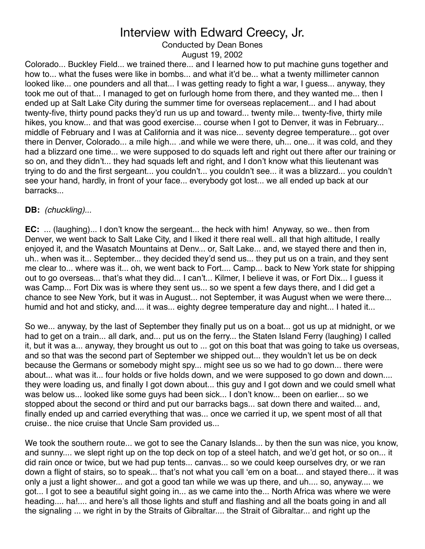Conducted by Dean Bones

August 19, 2002

Colorado... Buckley Field... we trained there... and I learned how to put machine guns together and how to... what the fuses were like in bombs... and what it'd be... what a twenty millimeter cannon looked like... one pounders and all that... I was getting ready to fight a war, I guess... anyway, they took me out of that... I managed to get on furlough home from there, and they wanted me... then I ended up at Salt Lake City during the summer time for overseas replacement... and I had about twenty-five, thirty pound packs they'd run us up and toward... twenty mile... twenty-five, thirty mile hikes, you know... and that was good exercise... course when I got to Denver, it was in February... middle of February and I was at California and it was nice... seventy degree temperature... got over there in Denver, Colorado... a mile high... .and while we were there, uh... one... it was cold, and they had a blizzard one time... we were supposed to do squads left and right out there after our training or so on, and they didn't... they had squads left and right, and I don't know what this lieutenant was trying to do and the first sergeant... you couldn't... you couldn't see... it was a blizzard... you couldn't see your hand, hardly, in front of your face... everybody got lost... we all ended up back at our barracks...

### **DB:** *(chuckling)...*

**EC:** ... (laughing)... I don't know the sergeant... the heck with him! Anyway, so we.. then from Denver, we went back to Salt Lake City, and I liked it there real well.. all that high altitude, I really enjoyed it, and the Wasatch Mountains at Denv... or, Salt Lake... and, we stayed there and then in, uh.. when was it... September... they decided they'd send us... they put us on a train, and they sent me clear to... where was it... oh, we went back to Fort.... Camp... back to New York state for shipping out to go overseas... that's what they did... I can't... Kilmer, I believe it was, or Fort Dix... I guess it was Camp... Fort Dix was is where they sent us... so we spent a few days there, and I did get a chance to see New York, but it was in August... not September, it was August when we were there... humid and hot and sticky, and.... it was... eighty degree temperature day and night... I hated it...

So we... anyway, by the last of September they finally put us on a boat... got us up at midnight, or we had to get on a train... all dark, and... put us on the ferry... the Staten Island Ferry (laughing) I called it, but it was a... anyway, they brought us out to ... got on this boat that was going to take us overseas, and so that was the second part of September we shipped out... they wouldn't let us be on deck because the Germans or somebody might spy... might see us so we had to go down... there were about... what was it... four holds or five holds down, and we were supposed to go down and down.... they were loading us, and finally I got down about... this guy and I got down and we could smell what was below us... looked like some guys had been sick... I don't know... been on earlier... so we stopped about the second or third and put our barracks bags... sat down there and waited... and, finally ended up and carried everything that was... once we carried it up, we spent most of all that cruise.. the nice cruise that Uncle Sam provided us...

We took the southern route... we got to see the Canary Islands... by then the sun was nice, you know, and sunny.... we slept right up on the top deck on top of a steel hatch, and we'd get hot, or so on... it did rain once or twice, but we had pup tents... canvas... so we could keep ourselves dry, or we ran down a flight of stairs, so to speak... that's not what you call 'em on a boat... and stayed there... it was only a just a light shower... and got a good tan while we was up there, and uh.... so, anyway.... we got... I got to see a beautiful sight going in... as we came into the... North Africa was where we were heading.... ha!.... and here's all those lights and stuff and flashing and all the boats going in and all the signaling ... we right in by the Straits of Gibraltar.... the Strait of Gibraltar... and right up the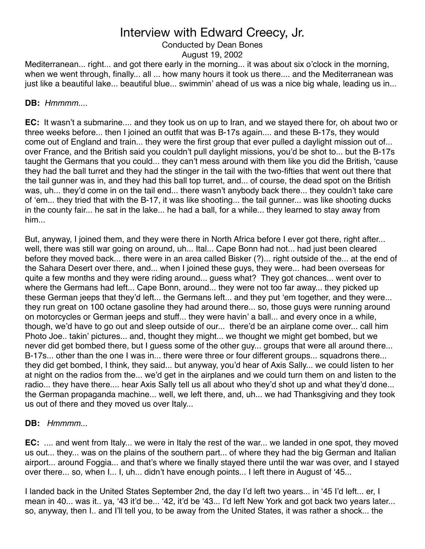# Conducted by Dean Bones

August 19, 2002

Mediterranean... right... and got there early in the morning... it was about six o'clock in the morning, when we went through, finally... all ... how many hours it took us there.... and the Mediterranean was just like a beautiful lake... beautiful blue... swimmin' ahead of us was a nice big whale, leading us in...

### **DB:** *Hmmmm....*

**EC:** It wasn't a submarine.... and they took us on up to Iran, and we stayed there for, oh about two or three weeks before... then I joined an outfit that was B-17s again.... and these B-17s, they would come out of England and train... they were the first group that ever pulled a daylight mission out of... over France, and the British said you couldn't pull daylight missions, you'd be shot to... but the B-17s taught the Germans that you could... they can't mess around with them like you did the British, ʻcause they had the ball turret and they had the stinger in the tail with the two-fifties that went out there that the tail gunner was in, and they had this ball top turret, and... of course, the dead spot on the British was, uh... they'd come in on the tail end... there wasn't anybody back there... they couldn't take care of ʻem... they tried that with the B-17, it was like shooting... the tail gunner... was like shooting ducks in the county fair... he sat in the lake... he had a ball, for a while... they learned to stay away from him...

But, anyway, I joined them, and they were there in North Africa before I ever got there, right after... well, there was still war going on around, uh... Ital... Cape Bonn had not... had just been cleared before they moved back... there were in an area called Bisker (?)... right outside of the... at the end of the Sahara Desert over there, and... when I joined these guys, they were... had been overseas for quite a few months and they were riding around... guess what? They got chances... went over to where the Germans had left... Cape Bonn, around... they were not too far away... they picked up these German jeeps that they'd left... the Germans left... and they put ʻem together, and they were... they run great on 100 octane gasoline they had around there... so, those guys were running around on motorcycles or German jeeps and stuff... they were havin' a ball... and every once in a while, though, we'd have to go out and sleep outside of our... there'd be an airplane come over... call him Photo Joe.. takin' pictures... and, thought they might... we thought we might get bombed, but we never did get bombed there, but I guess some of the other guy... groups that were all around there... B-17s... other than the one I was in... there were three or four different groups... squadrons there... they did get bombed, I think, they said... but anyway, you'd hear of Axis Sally... we could listen to her at night on the radios from the... we'd get in the airplanes and we could turn them on and listen to the radio... they have there.... hear Axis Sally tell us all about who they'd shot up and what they'd done... the German propaganda machine... well, we left there, and, uh... we had Thanksgiving and they took us out of there and they moved us over Italy...

## **DB:** *Hmmmm...*

**EC:** .... and went from Italy... we were in Italy the rest of the war... we landed in one spot, they moved us out... they... was on the plains of the southern part... of where they had the big German and Italian airport... around Foggia... and that's where we finally stayed there until the war was over, and I stayed over there... so, when I... I, uh... didn't have enough points... I left there in August of ʻ45...

I landed back in the United States September 2nd, the day I'd left two years... in ʻ45 I'd left... er, I mean in 40... was it.. ya, ʻ43 it'd be... ʻ42, it'd be ʻ43... I'd left New York and got back two years later... so, anyway, then I.. and I'll tell you, to be away from the United States, it was rather a shock... the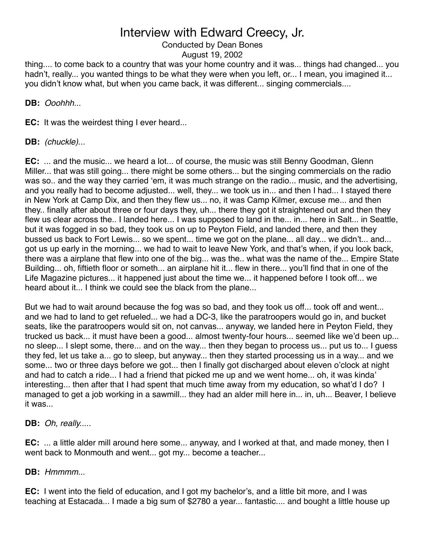Conducted by Dean Bones August 19, 2002

thing.... to come back to a country that was your home country and it was... things had changed... you hadn't, really... you wanted things to be what they were when you left, or... I mean, you imagined it... you didn't know what, but when you came back, it was different... singing commercials....

**DB:** *Ooohhh...*

**EC:** It was the weirdest thing I ever heard...

**DB:** *(chuckle)...*

**EC:** ... and the music... we heard a lot... of course, the music was still Benny Goodman, Glenn Miller... that was still going... there might be some others... but the singing commercials on the radio was so.. and the way they carried ʻem, it was much strange on the radio... music, and the advertising, and you really had to become adjusted... well, they... we took us in... and then I had... I stayed there in New York at Camp Dix, and then they flew us... no, it was Camp Kilmer, excuse me... and then they.. finally after about three or four days they, uh... there they got it straightened out and then they flew us clear across the.. I landed here... I was supposed to land in the... in... here in Salt... in Seattle, but it was fogged in so bad, they took us on up to Peyton Field, and landed there, and then they bussed us back to Fort Lewis... so we spent... time we got on the plane... all day... we didn't... and... got us up early in the morning... we had to wait to leave New York, and that's when, if you look back, there was a airplane that flew into one of the big... was the.. what was the name of the... Empire State Building... oh, fiftieth floor or someth... an airplane hit it... flew in there... you'll find that in one of the Life Magazine pictures... it happened just about the time we... it happened before I took off... we heard about it... I think we could see the black from the plane...

But we had to wait around because the fog was so bad, and they took us off... took off and went... and we had to land to get refueled... we had a DC-3, like the paratroopers would go in, and bucket seats, like the paratroopers would sit on, not canvas... anyway, we landed here in Peyton Field, they trucked us back... it must have been a good... almost twenty-four hours... seemed like we'd been up... no sleep... I slept some, there... and on the way... then they began to process us... put us to... I guess they fed, let us take a... go to sleep, but anyway... then they started processing us in a way... and we some... two or three days before we got... then I finally got discharged about eleven o'clock at night and had to catch a ride... I had a friend that picked me up and we went home... oh, it was kinda' interesting... then after that I had spent that much time away from my education, so what'd I do? I managed to get a job working in a sawmill... they had an alder mill here in... in, uh... Beaver, I believe it was...

**DB:** *Oh, really.....*

**EC:** ... a little alder mill around here some... anyway, and I worked at that, and made money, then I went back to Monmouth and went... got my... become a teacher...

**DB:** *Hmmmm...*

**EC:** I went into the field of education, and I got my bachelor's, and a little bit more, and I was teaching at Estacada... I made a big sum of \$2780 a year... fantastic.... and bought a little house up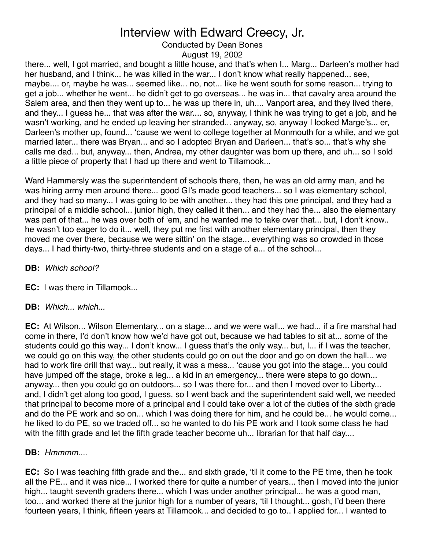Conducted by Dean Bones

August 19, 2002

there... well, I got married, and bought a little house, and that's when I... Marg... Darleen's mother had her husband, and I think... he was killed in the war... I don't know what really happened... see, maybe.... or, maybe he was... seemed like... no, not... like he went south for some reason... trying to get a job... whether he went... he didn't get to go overseas... he was in... that cavalry area around the Salem area, and then they went up to... he was up there in, uh.... Vanport area, and they lived there, and they... I guess he... that was after the war.... so, anyway, I think he was trying to get a job, and he wasn't working, and he ended up leaving her stranded... anyway, so, anyway I looked Marge's... er, Darleen's mother up, found... ʻcause we went to college together at Monmouth for a while, and we got married later... there was Bryan... and so I adopted Bryan and Darleen... that's so... that's why she calls me dad... but, anyway... then, Andrea, my other daughter was born up there, and uh... so I sold a little piece of property that I had up there and went to Tillamook...

Ward Hammersly was the superintendent of schools there, then, he was an old army man, and he was hiring army men around there... good GI's made good teachers... so I was elementary school, and they had so many... I was going to be with another... they had this one principal, and they had a principal of a middle school... junior high, they called it then... and they had the... also the elementary was part of that... he was over both of 'em, and he wanted me to take over that... but, I don't know.. he wasn't too eager to do it... well, they put me first with another elementary principal, then they moved me over there, because we were sittin' on the stage... everything was so crowded in those days... I had thirty-two, thirty-three students and on a stage of a... of the school...

**DB:** *Which school?*

**EC:** I was there in Tillamook...

**DB:** *Which... which...*

**EC:** At Wilson... Wilson Elementary... on a stage... and we were wall... we had... if a fire marshal had come in there, I'd don't know how we'd have got out, because we had tables to sit at... some of the students could go this way... I don't know... I guess that's the only way... but, I... if I was the teacher, we could go on this way, the other students could go on out the door and go on down the hall... we had to work fire drill that way... but really, it was a mess... ʻcause you got into the stage... you could have jumped off the stage, broke a leg... a kid in an emergency... there were steps to go down... anyway... then you could go on outdoors... so I was there for... and then I moved over to Liberty... and, I didn't get along too good, I guess, so I went back and the superintendent said well, we needed that principal to become more of a principal and I could take over a lot of the duties of the sixth grade and do the PE work and so on... which I was doing there for him, and he could be... he would come... he liked to do PE, so we traded off... so he wanted to do his PE work and I took some class he had with the fifth grade and let the fifth grade teacher become uh... librarian for that half day....

### **DB:** *Hmmmm...*.

**EC:** So I was teaching fifth grade and the... and sixth grade, ʻtil it come to the PE time, then he took all the PE... and it was nice... I worked there for quite a number of years... then I moved into the junior high... taught seventh graders there... which I was under another principal... he was a good man, too... and worked there at the junior high for a number of years, ʻtil I thought... gosh, I'd been there fourteen years, I think, fifteen years at Tillamook... and decided to go to.. I applied for... I wanted to